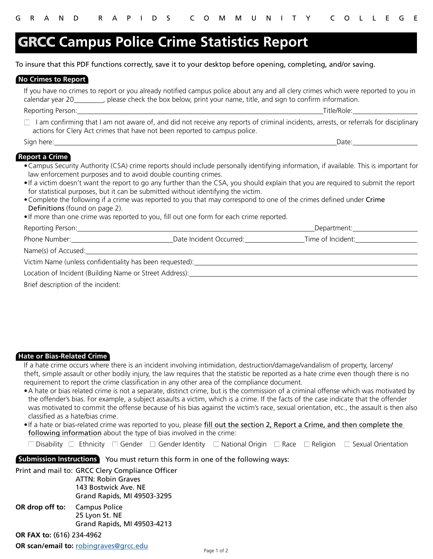# **GRCC Campus Police Crime Statistics Report**

To insure that this PDF functions correctly, save it to your desktop before opening, completing, and/or saving.

## **No Crimes to Report**

If you have no crimes to report or you already notified campus police about any and all clery crimes which were reported to you in calendar year 20\_\_\_\_\_\_\_\_, please check the box below, print your name, title, and sign to confirm information.

Reporting Person: Title/Role: The Contract of the Contract of the Contract of the Contract of the Contract of the Contract of the Contract of the Contract of the Contract of the Contract of the Contract of the Contract of

 $\Box$  I am confirming that I am not aware of, and did not receive any reports of criminal incidents, arrests, or referrals for disciplinary actions for Clery Act crimes that have not been reported to campus police.

Sign here: Date:

## **Report a Crime**

- •Campus Security Authority (CSA) crime reports should include personally identifying information, if available. This is important for law enforcement purposes and to avoid double counting crimes.
- •If a victim doesn't want the report to go any further than the CSA, you should explain that you are required to submit the report for statistical purposes, but it can be submitted without identifying the victim.
- •Complete the following if a crime was reported to you that may correspond to one of the crimes defined under Crime Definitions (found on page 2).
- •If more than one crime was reported to you, fill out one form for each crime reported.

| Reporting Person: ________                               |                         | _Department:______ |  |  |
|----------------------------------------------------------|-------------------------|--------------------|--|--|
| Phone Number:                                            | Date Incident Occurred: | Time of Incident:  |  |  |
| Name(s) of Accused:                                      |                         |                    |  |  |
| Victim Name (unless confidentiality has been requested): |                         |                    |  |  |
| Location of Incident (Building Name or Street Address):  |                         |                    |  |  |

Brief description of the incident:

## **Hate or Bias-Related Crime**

If a hate crime occurs where there is an incident involving intimidation, destruction/damage/vandalism of property, larceny/ theft, simple assault or other bodily injury, the law requires that the statistic be reported as a hate crime even though there is no requirement to report the crime classification in any other area of the compliance document.

- •A hate or bias related crime is not a separate, distinct crime, but is the commission of a criminal offense which was motivated by the offender's bias. For example, a subject assaults a victim, which is a crime. If the facts of the case indicate that the offender was motivated to commit the offense because of his bias against the victim's race, sexual orientation, etc., the assault is then also classified as a hate/bias crime.
- •If a hate or bias-related crime was reported to you, please fill out the section 2, Report a Crime, and then complete the following information about the type of bias involved in the crime:

Disability  $\Box$  Ethnicity  $\Box$  Gender  $\Box$  Gender Identity  $\Box$  National Origin  $\Box$  Race  $\Box$  Religion  $\Box$  Sexual Orientation

# **Submission Instructions** You must return this form in one of the following ways:

Print and mail to: GRCC Clery Compliance Officer

ATTN: Robin Graves 143 Bostwick Ave. NE Grand Rapids, MI 49503-3295

**OR drop off to:** Campus Police 25 Lyon St. NE Grand Rapids, MI 49503-4213

**OR FAX to:** (616) 234-4962

**OR scan/email to:** robingraves@[grcc.edu](mailto:robingraves%40grcc.edu?subject=Campus%20Police%20Crime%20Statistics%20Report) Page 1 of 2